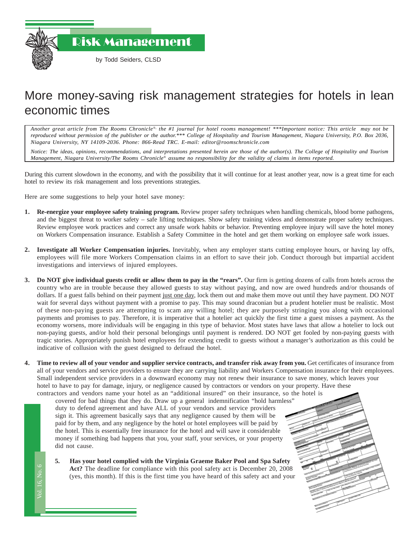Risk Management

by Todd Seiders, CLSD

## More money-saving risk management strategies for hotels in lean economic times

*Another great article from The Rooms Chronicle*®*, the #1 journal for hotel rooms management! \*\*\*Important notice: This article may not be reproduced without permission of the publisher or the author.\*\*\* College of Hospitality and Tourism Management, Niagara University, P.O. Box 2036, Niagara University, NY 14109-2036. Phone: 866-Read TRC. E-mail: editor@roomschronicle.com*

*Notice: The ideas, opinions, recommendations, and interpretations presented herein are those of the author(s). The College of Hospitality and Tourism Management, Niagara University/The Rooms Chronicle*® *assume no responsibility for the validity of claims in items reported.*

During this current slowdown in the economy, and with the possibility that it will continue for at least another year, now is a great time for each hotel to review its risk management and loss preventions strategies.

Here are some suggestions to help your hotel save money:

Vol. 16, No. 6

- **1. Re-energize your employee safety training program.** Review proper safety techniques when handling chemicals, blood borne pathogens, and the biggest threat to worker safety – safe lifting techniques. Show safety training videos and demonstrate proper safety techniques. Review employee work practices and correct any unsafe work habits or behavior. Preventing employee injury will save the hotel money on Workers Compensation insurance. Establish a Safety Committee in the hotel and get them working on employee safe work issues.
- **2. Investigate all Worker Compensation injuries.** Inevitably, when any employer starts cutting employee hours, or having lay offs, employees will file more Workers Compensation claims in an effort to save their job. Conduct thorough but impartial accident investigations and interviews of injured employees.
- **3. Do NOT give individual guests credit or allow them to pay in the "rears".** Our firm is getting dozens of calls from hotels across the country who are in trouble because they allowed guests to stay without paying, and now are owed hundreds and/or thousands of dollars. If a guest falls behind on their payment just one day, lock them out and make them move out until they have payment. DO NOT wait for several days without payment with a promise to pay. This may sound draconian but a prudent hotelier must be realistic. Most of these non-paying guests are attempting to scam any willing hotel; they are purposely stringing you along with occasional payments and promises to pay. Therefore, it is imperative that a hotelier act quickly the first time a guest misses a payment. As the economy worsens, more individuals will be engaging in this type of behavior. Most states have laws that allow a hotelier to lock out non-paying guests, and/or hold their personal belongings until payment is rendered. DO NOT get fooled by non-paying guests with tragic stories. Appropriately punish hotel employees for extending credit to guests without a manager's authorization as this could be indicative of collusion with the guest designed to defraud the hotel.
- **4. Time to review all of your vendor and supplier service contracts, and transfer risk away from you.** Get certificates of insurance from all of your vendors and service providers to ensure they are carrying liability and Workers Compensation insurance for their employees. Small independent service providers in a downward economy may not renew their insurance to save money, which leaves your hotel to have to pay for damage, injury, or negligence caused by contractors or vendors on your property. Have these contractors and vendors name your hotel as an "additional insured" on their insurance, so the hotel is

covered for bad things that they do. Draw up a general indemnification "hold harmless" duty to defend agreement and have ALL of your vendors and service providers sign it. This agreement basically says that any negligence caused by them will be paid for by them, and any negligence by the hotel or hotel employees will be paid by the hotel. This is essentially free insurance for the hotel and will save it considerable money if something bad happens that you, your staff, your services, or your property did not cause.

**5. Has your hotel complied with the Virginia Graeme Baker Pool and Spa Safety Act?** The deadline for compliance with this pool safety act is December 20, 2008 (yes, this month). If this is the first time you have heard of this safety act and your